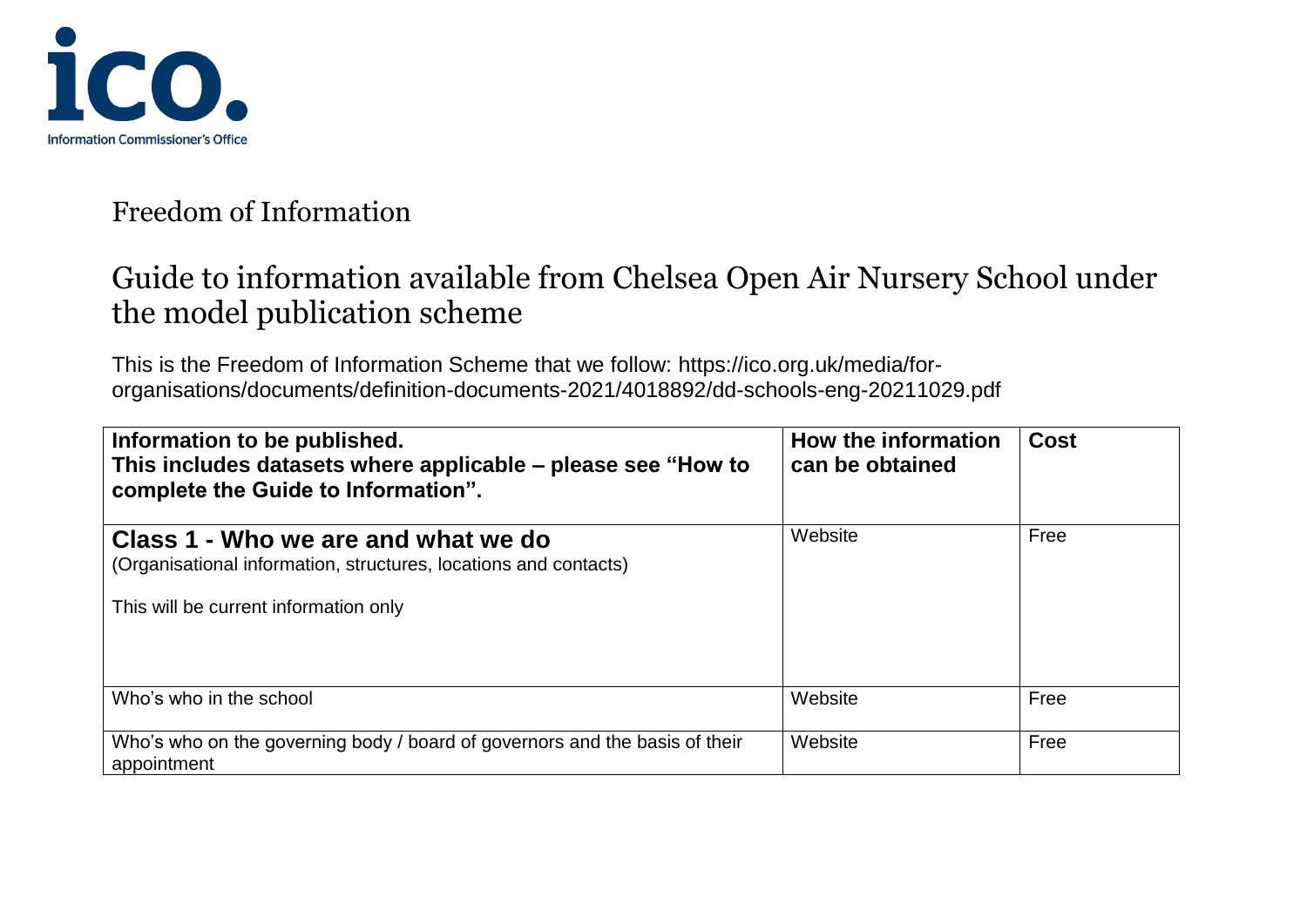

## Guide to information available from Chelsea Open Air Nursery School under the model publication scheme

This is the Freedom of Information Scheme that we follow: https://ico.org.uk/media/fororganisations/documents/definition-documents-2021/4018892/dd-schools-eng-20211029.pdf

| Information to be published.<br>This includes datasets where applicable - please see "How to<br>complete the Guide to Information".              | How the information<br>can be obtained | Cost |
|--------------------------------------------------------------------------------------------------------------------------------------------------|----------------------------------------|------|
| Class 1 - Who we are and what we do<br>(Organisational information, structures, locations and contacts)<br>This will be current information only | Website                                | Free |
| Who's who in the school                                                                                                                          | Website                                | Free |
| Who's who on the governing body / board of governors and the basis of their<br>appointment                                                       | Website                                | Free |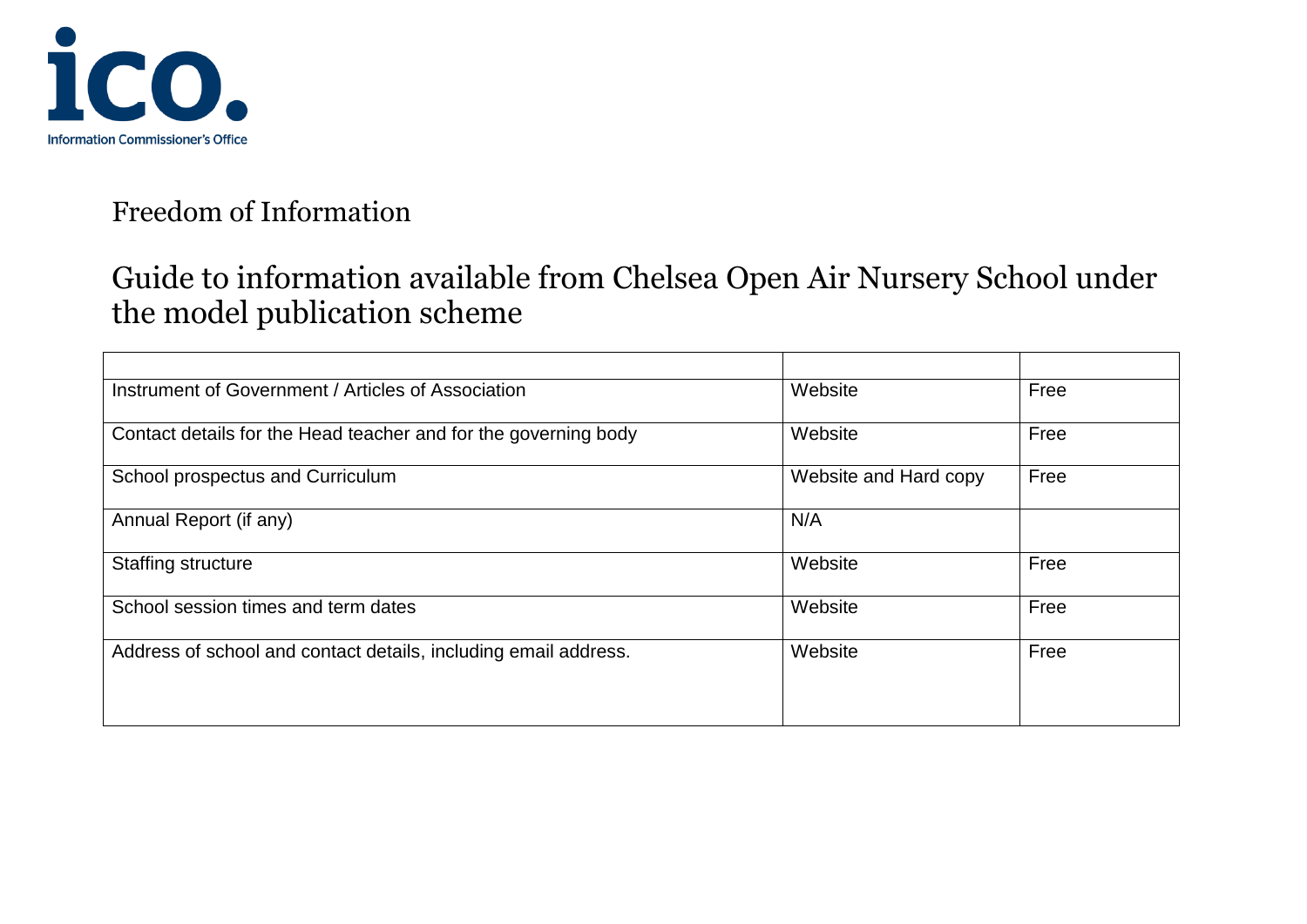

| Instrument of Government / Articles of Association              | Website               | Free |
|-----------------------------------------------------------------|-----------------------|------|
| Contact details for the Head teacher and for the governing body | Website               | Free |
| School prospectus and Curriculum                                | Website and Hard copy | Free |
| Annual Report (if any)                                          | N/A                   |      |
| <b>Staffing structure</b>                                       | Website               | Free |
| School session times and term dates                             | Website               | Free |
| Address of school and contact details, including email address. | Website               | Free |
|                                                                 |                       |      |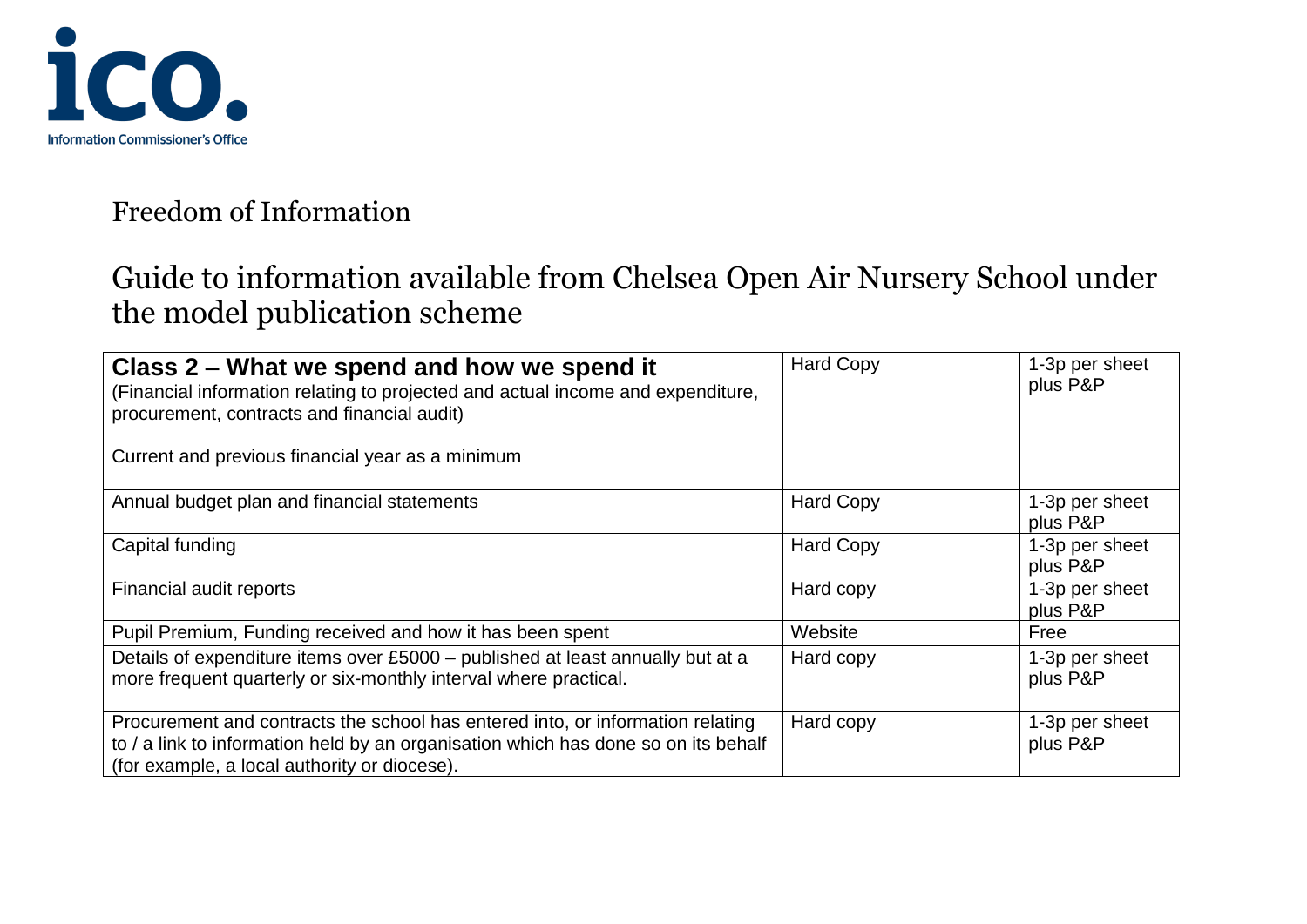

| Class 2 – What we spend and how we spend it<br>(Financial information relating to projected and actual income and expenditure,<br>procurement, contracts and financial audit)<br>Current and previous financial year as a minimum | <b>Hard Copy</b> | 1-3p per sheet<br>plus P&P |
|-----------------------------------------------------------------------------------------------------------------------------------------------------------------------------------------------------------------------------------|------------------|----------------------------|
| Annual budget plan and financial statements                                                                                                                                                                                       | <b>Hard Copy</b> | 1-3p per sheet<br>plus P&P |
| Capital funding                                                                                                                                                                                                                   | <b>Hard Copy</b> | 1-3p per sheet<br>plus P&P |
| Financial audit reports                                                                                                                                                                                                           | Hard copy        | 1-3p per sheet<br>plus P&P |
| Pupil Premium, Funding received and how it has been spent                                                                                                                                                                         | Website          | Free                       |
| Details of expenditure items over £5000 – published at least annually but at a<br>more frequent quarterly or six-monthly interval where practical.                                                                                | Hard copy        | 1-3p per sheet<br>plus P&P |
| Procurement and contracts the school has entered into, or information relating<br>to / a link to information held by an organisation which has done so on its behalf<br>(for example, a local authority or diocese).              | Hard copy        | 1-3p per sheet<br>plus P&P |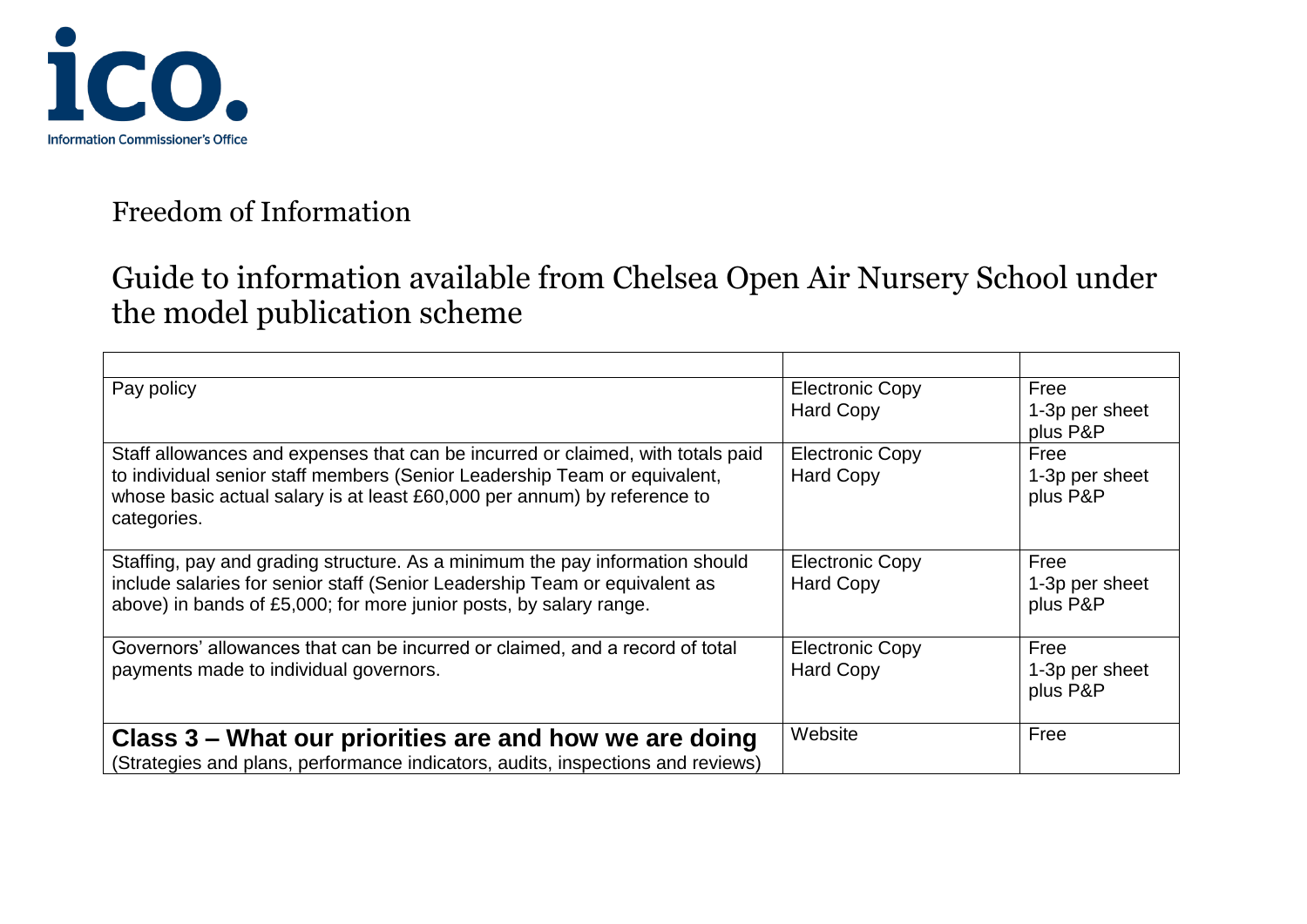

| Pay policy                                                                                                                                                                                                                                              | <b>Electronic Copy</b><br><b>Hard Copy</b> | Free<br>1-3p per sheet<br>plus P&P |
|---------------------------------------------------------------------------------------------------------------------------------------------------------------------------------------------------------------------------------------------------------|--------------------------------------------|------------------------------------|
| Staff allowances and expenses that can be incurred or claimed, with totals paid<br>to individual senior staff members (Senior Leadership Team or equivalent,<br>whose basic actual salary is at least £60,000 per annum) by reference to<br>categories. | <b>Electronic Copy</b><br><b>Hard Copy</b> | Free<br>1-3p per sheet<br>plus P&P |
| Staffing, pay and grading structure. As a minimum the pay information should<br>include salaries for senior staff (Senior Leadership Team or equivalent as<br>above) in bands of £5,000; for more junior posts, by salary range.                        | <b>Electronic Copy</b><br><b>Hard Copy</b> | Free<br>1-3p per sheet<br>plus P&P |
| Governors' allowances that can be incurred or claimed, and a record of total<br>payments made to individual governors.                                                                                                                                  | <b>Electronic Copy</b><br><b>Hard Copy</b> | Free<br>1-3p per sheet<br>plus P&P |
| Class 3 – What our priorities are and how we are doing<br>(Strategies and plans, performance indicators, audits, inspections and reviews)                                                                                                               | Website                                    | Free                               |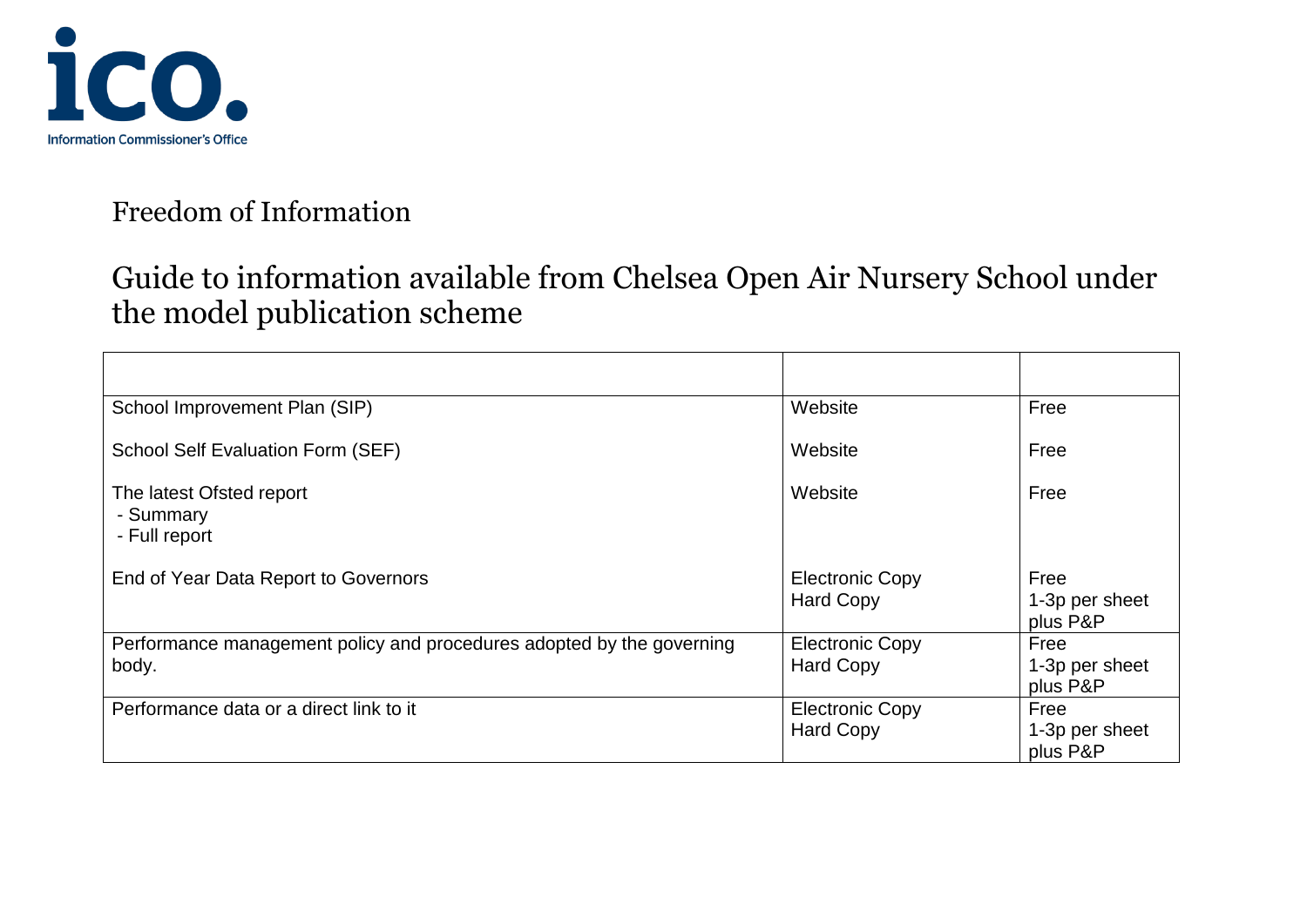

| School Improvement Plan (SIP)                                                  | Website                                    | Free                               |
|--------------------------------------------------------------------------------|--------------------------------------------|------------------------------------|
| School Self Evaluation Form (SEF)                                              | Website                                    | Free                               |
| The latest Ofsted report<br>- Summary<br>- Full report                         | Website                                    | Free                               |
| End of Year Data Report to Governors                                           | <b>Electronic Copy</b><br><b>Hard Copy</b> | Free<br>1-3p per sheet<br>plus P&P |
| Performance management policy and procedures adopted by the governing<br>body. | <b>Electronic Copy</b><br><b>Hard Copy</b> | Free<br>1-3p per sheet<br>plus P&P |
| Performance data or a direct link to it                                        | <b>Electronic Copy</b><br><b>Hard Copy</b> | Free<br>1-3p per sheet<br>plus P&P |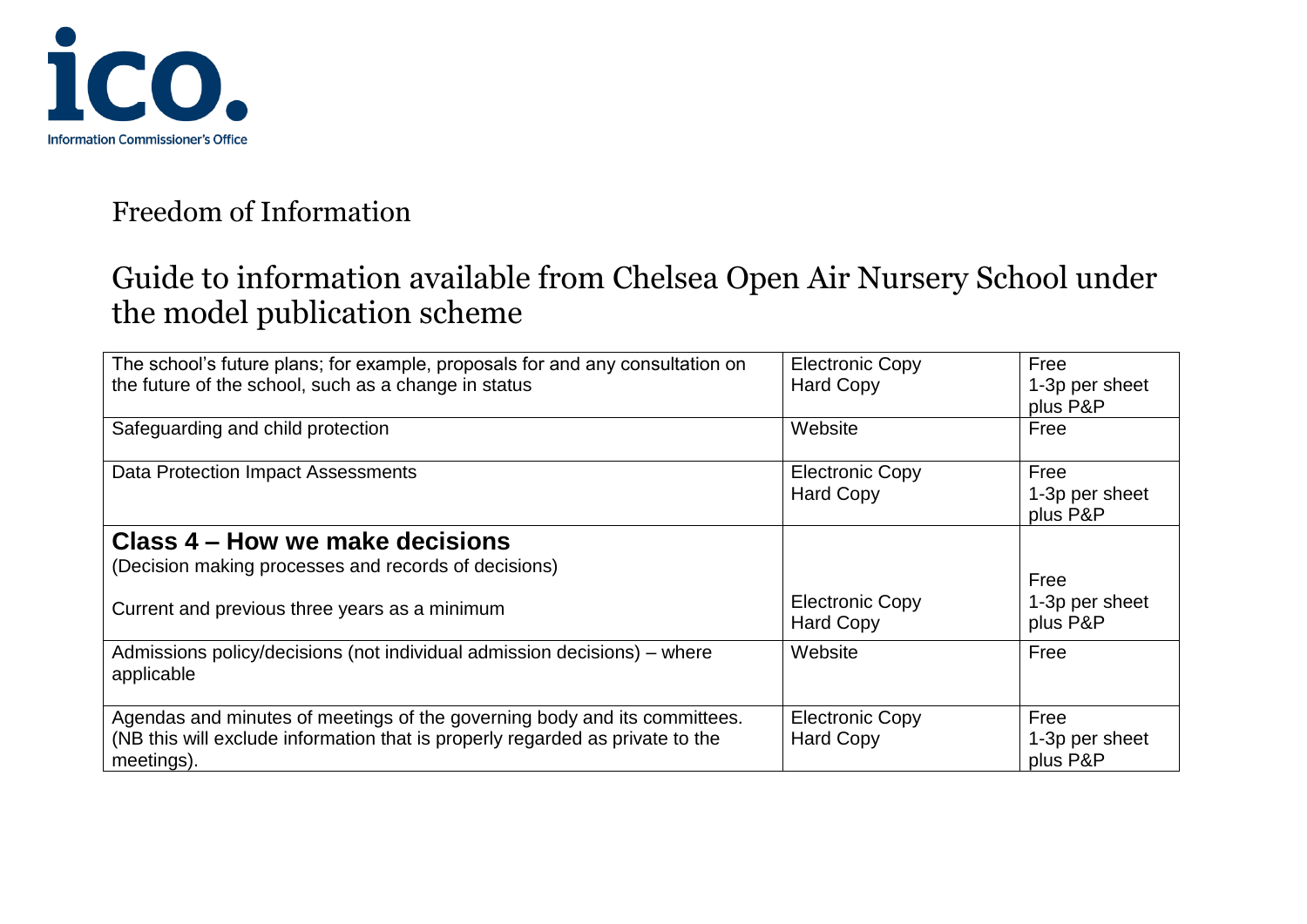

| The school's future plans; for example, proposals for and any consultation on<br>the future of the school, such as a change in status                                    | <b>Electronic Copy</b><br><b>Hard Copy</b> | Free<br>1-3p per sheet<br>plus P&P |
|--------------------------------------------------------------------------------------------------------------------------------------------------------------------------|--------------------------------------------|------------------------------------|
| Safeguarding and child protection                                                                                                                                        | Website                                    | Free                               |
| <b>Data Protection Impact Assessments</b>                                                                                                                                | <b>Electronic Copy</b><br><b>Hard Copy</b> | Free<br>1-3p per sheet<br>plus P&P |
| Class 4 – How we make decisions                                                                                                                                          |                                            |                                    |
| (Decision making processes and records of decisions)                                                                                                                     |                                            | Free                               |
| Current and previous three years as a minimum                                                                                                                            | <b>Electronic Copy</b><br><b>Hard Copy</b> | 1-3p per sheet<br>plus P&P         |
| Admissions policy/decisions (not individual admission decisions) – where<br>applicable                                                                                   | Website                                    | Free                               |
| Agendas and minutes of meetings of the governing body and its committees.<br>(NB this will exclude information that is properly regarded as private to the<br>meetings). | <b>Electronic Copy</b><br><b>Hard Copy</b> | Free<br>1-3p per sheet<br>plus P&P |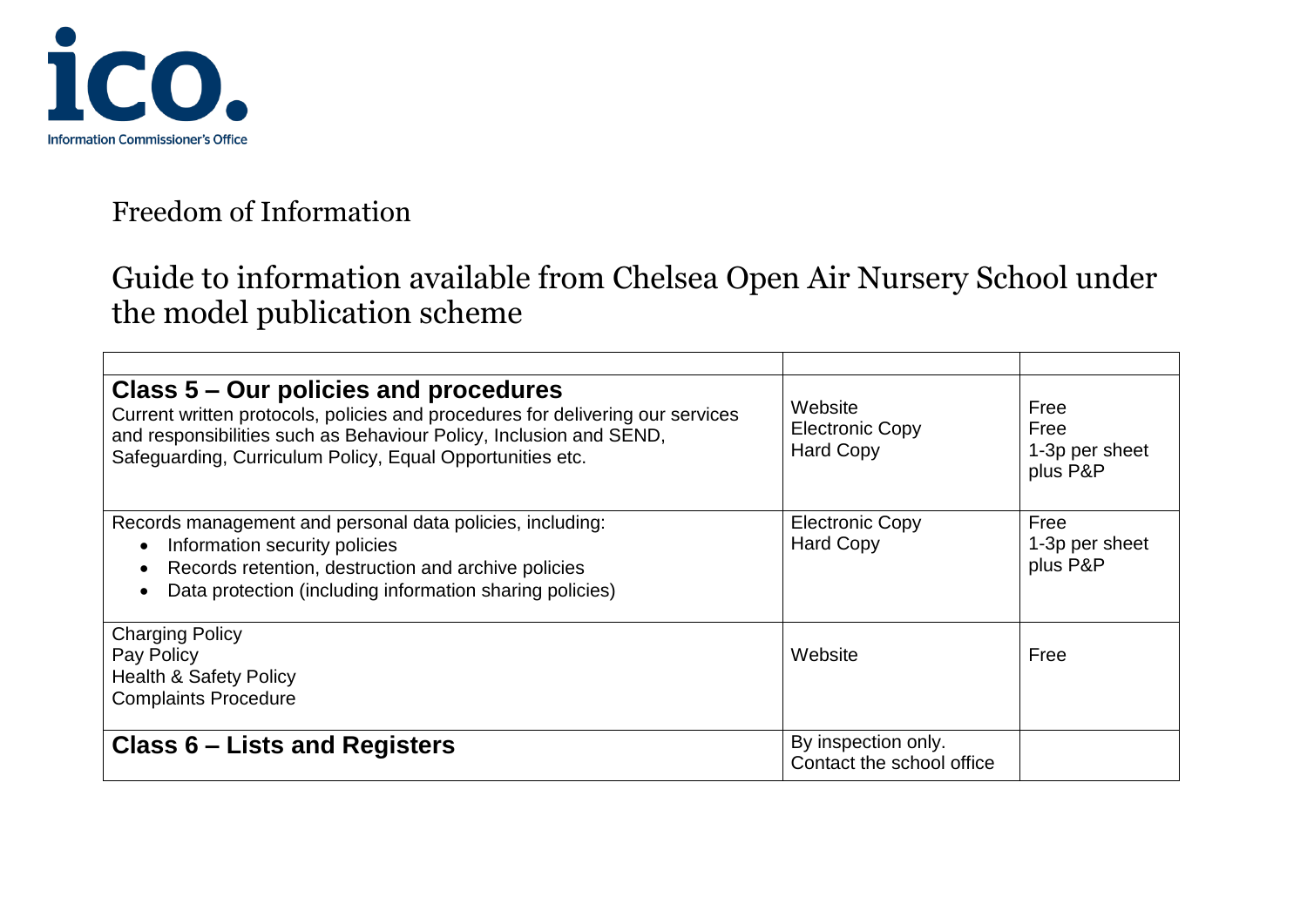

| Class 5 – Our policies and procedures<br>Current written protocols, policies and procedures for delivering our services<br>and responsibilities such as Behaviour Policy, Inclusion and SEND,<br>Safeguarding, Curriculum Policy, Equal Opportunities etc. | Website<br><b>Electronic Copy</b><br><b>Hard Copy</b> | Free<br>Free<br>1-3p per sheet<br>plus P&P |
|------------------------------------------------------------------------------------------------------------------------------------------------------------------------------------------------------------------------------------------------------------|-------------------------------------------------------|--------------------------------------------|
| Records management and personal data policies, including:<br>Information security policies<br>Records retention, destruction and archive policies<br>Data protection (including information sharing policies)                                              | <b>Electronic Copy</b><br><b>Hard Copy</b>            | Free<br>1-3p per sheet<br>plus P&P         |
| <b>Charging Policy</b><br>Pay Policy<br><b>Health &amp; Safety Policy</b><br><b>Complaints Procedure</b>                                                                                                                                                   | Website                                               | Free                                       |
| <b>Class 6 – Lists and Registers</b>                                                                                                                                                                                                                       | By inspection only.<br>Contact the school office      |                                            |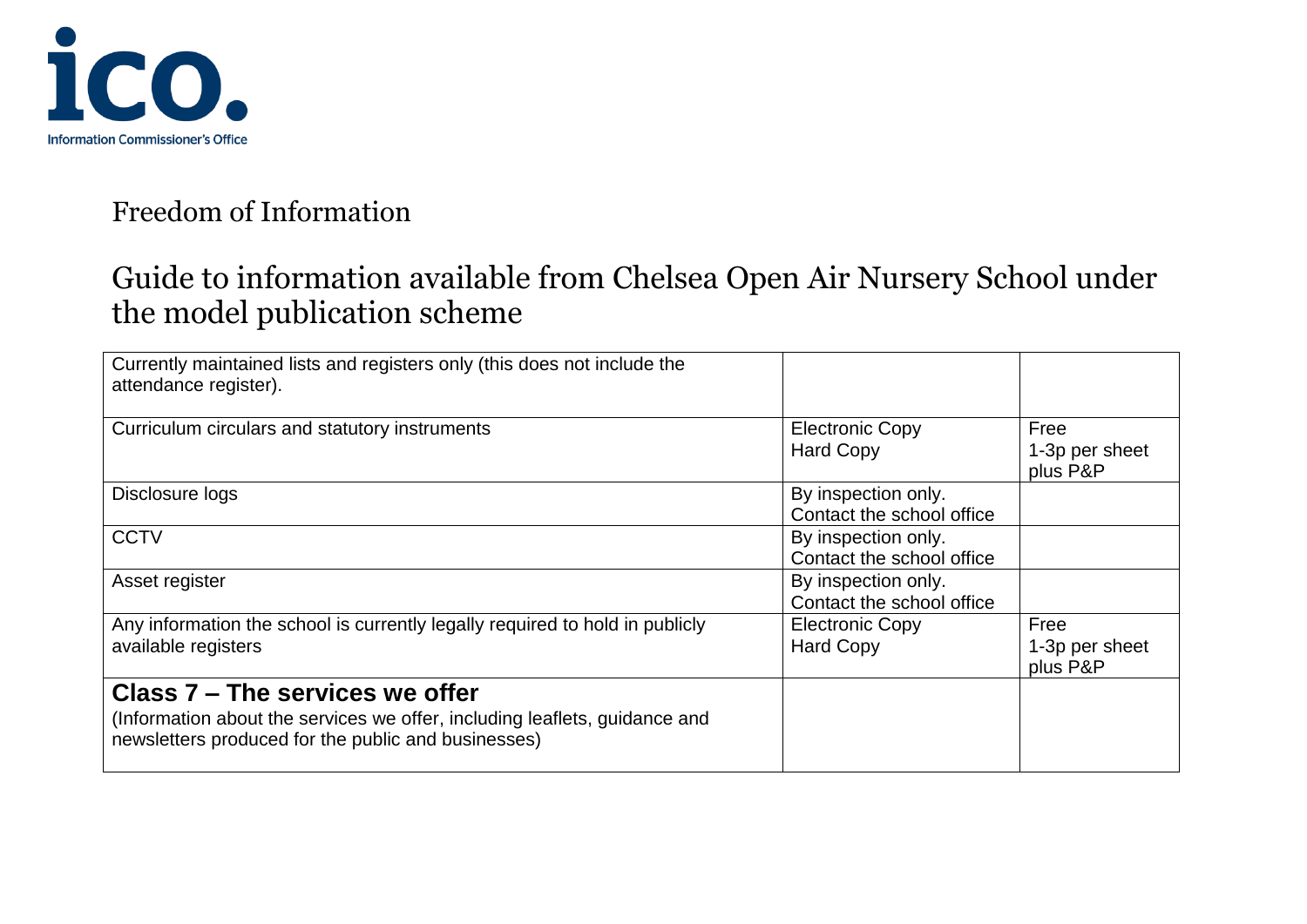

| Currently maintained lists and registers only (this does not include the<br>attendance register).                                                                    |                                                  |                                    |
|----------------------------------------------------------------------------------------------------------------------------------------------------------------------|--------------------------------------------------|------------------------------------|
| Curriculum circulars and statutory instruments                                                                                                                       | <b>Electronic Copy</b><br><b>Hard Copy</b>       | Free<br>1-3p per sheet<br>plus P&P |
| Disclosure logs                                                                                                                                                      | By inspection only.<br>Contact the school office |                                    |
| <b>CCTV</b>                                                                                                                                                          | By inspection only.<br>Contact the school office |                                    |
| Asset register                                                                                                                                                       | By inspection only.<br>Contact the school office |                                    |
| Any information the school is currently legally required to hold in publicly<br>available registers                                                                  | <b>Electronic Copy</b><br><b>Hard Copy</b>       | Free<br>1-3p per sheet<br>plus P&P |
| Class 7 - The services we offer<br>(Information about the services we offer, including leaflets, guidance and<br>newsletters produced for the public and businesses) |                                                  |                                    |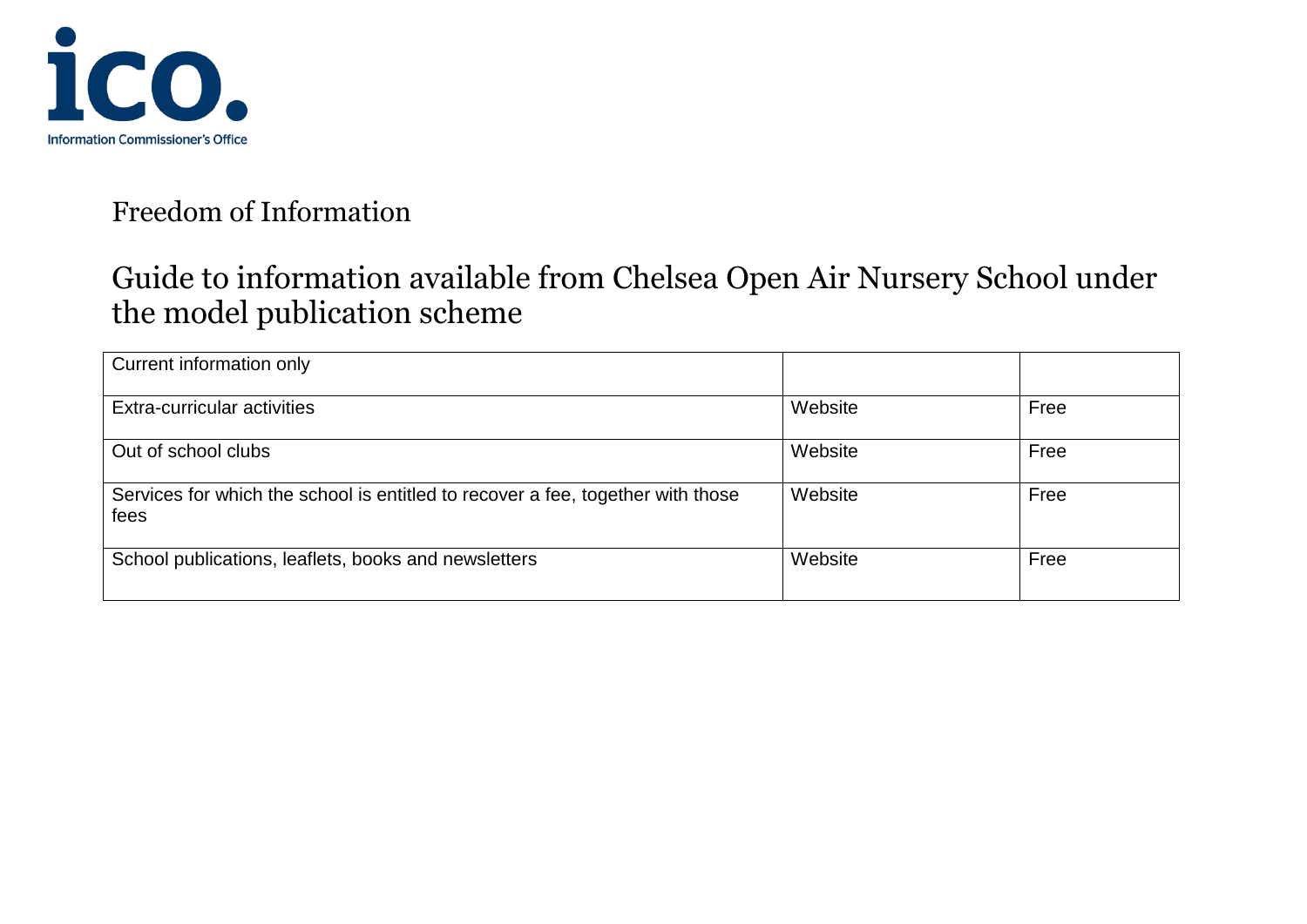

| Current information only                                                                |         |      |
|-----------------------------------------------------------------------------------------|---------|------|
| Extra-curricular activities                                                             | Website | Free |
| Out of school clubs                                                                     | Website | Free |
| Services for which the school is entitled to recover a fee, together with those<br>fees | Website | Free |
| School publications, leaflets, books and newsletters                                    | Website | Free |